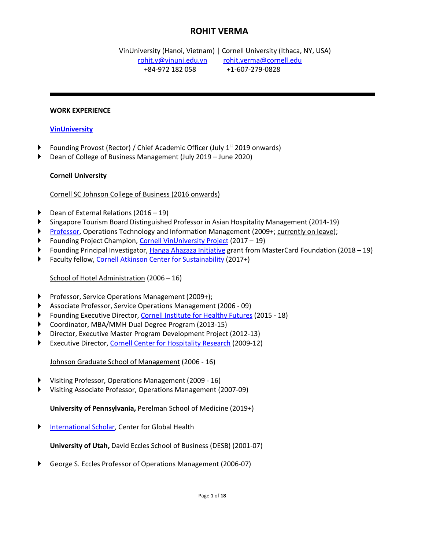# **ROHIT VERMA**

 VinUniversity (Hanoi, Vietnam) | Cornell University (Ithaca, NY, USA) [rohit.v@vinuni.edu.vn](mailto:rohit.v@vinuni.edu.vn) [rohit.verma@cornell.edu](mailto:rohit.verma@cornell.edu) +84-972 182 058 +1-607-279-0828

#### **WORK EXPERIENCE**

#### **[VinUniversity](https://vinuni.edu.vn/)**

- Founding Provost (Rector) / Chief Academic Officer (July 1<sup>st</sup> 2019 onwards)
- ► Dean of College of Business Management (July 2019 June 2020)

#### **Cornell University**

#### Cornell SC Johnson College of Business (2016 onwards)

- ► Dean of External Relations (2016 19)
- ► Singapore Tourism Board Distinguished Professor in Asian Hospitality Management (2014-19)
- [Professor,](https://sha.cornell.edu/faculty-research/faculty/rv54/) Operations Technology and Information Management (2009+; currently on leave);
- ► Founding Project Champion, [Cornell VinUniversity Project](https://business.cornell.edu/faculty-research/vin-university/) (2017 19)
- ► Founding Principal Investigator, [Hanga Ahazaza Initiative](https://business.cornell.edu/hanga-ahazaza/) grant from MasterCard Foundation (2018 19)
- Faculty fellow, [Cornell Atkinson Center for](https://www.atkinson.cornell.edu/about/) Sustainability (2017+)

#### School of Hotel Administration (2006 – 16)

- ► Professor, Service Operations Management (2009+);
- ► Associate Professor, Service Operations Management (2006 09)
- ► Founding Executive Director, [Cornell Institute for Healthy Futures](http://ihf.cornell.edu/) (2015 18)
- ► Coordinator, MBA/MMH Dual Degree Program (2013-15)
- ► Director, Executive Master Program Development Project (2012-13)
- Executive Director, [Cornell Center for Hospitality Research](https://sha.cornell.edu/faculty-research/centers-institutes/chr/about/welcome.html) (2009-12)

Johnson Graduate School of Management (2006 - 16)

- ► Visiting Professor, Operations Management (2009 16)
- ► Visiting Associate Professor, Operations Management (2007-09)

**University of Pennsylvania,** Perelman School of Medicine (2019+)

► [International Scholar,](https://www.med.upenn.edu/globalhealth/rohit-verma-phd.html) Center for Global Health

**University of Utah,** David Eccles School of Business (DESB) (2001-07)

► George S. Eccles Professor of Operations Management (2006-07)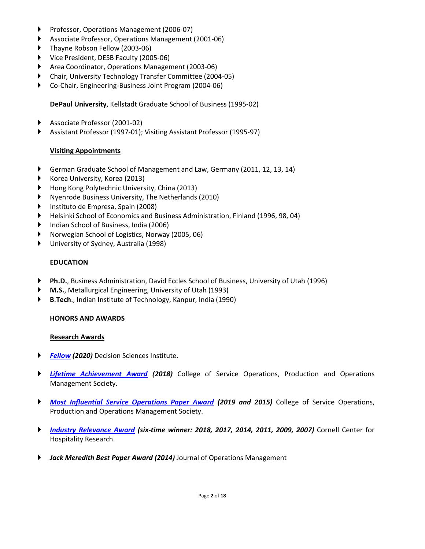- ► Professor, Operations Management (2006-07)
- ► Associate Professor, Operations Management (2001-06)
- ► Thayne Robson [Fellow \(2003-06\)](http://pomsmembers.org/dotnetnuke/Home/Post/451/Past-Wickham-Skinner-Winners-Early-Career-Research-Accomplishments-Awards)
- ► Vice President, DESB Faculty (2005-06)
- ► Area Coordinator, Operations Management (2003-06)
- ► [Chair, University](https://offices.depaul.edu/academic-affairs/faculty-resources/scholarship/urc/Pages/inquiry.aspx) Technology Transfer Committee (2004-05)
- ► Co-Chair, Engineering-Business Joint Program (2004-06)

#### **DePaul University**, Kellstadt Graduate School of Business (1995-02)

- ► Associate Professor (2001-02)
- ► Assistant Professor (1997-01); Visiting Assistant Professor (1995-97)

#### **Visiting Appointments**

- ► German Graduate School of Management and Law, Germany (2011, 12, 13, 14)
- ► Korea University, Korea (2013)
- ► Hong Kong Polytechnic University, China (2013)
- ► Nyenrode Business University, The Netherlands (2010)
- Instituto de Empresa, Spain (2008)
- ► Helsinki School of Economics and Business Administration, Finland (1996, 98, 04)
- ► Indian School of Business, India (2006)
- ► Norwegian School of Logistics, Norway (2005, 06)
- ► University of Sydney, Australia (1998)

#### **EDUCATION**

- ► **Ph.D.**, Business Administration, David Eccles School of Business, University of Utah (1996)
- **M.S.**, Metallurgical Engineering, University of Utah (1993)
- ► **B**.**Tech**., Indian Institute of Technology, Kanpur, India (1990)

#### **HONORS AND AWARDS**

#### **Research Awards**

- ► *[Fellow](https://decisionsciences.org/wp-content/uploads/2020/11/2020-Fellows-Citations.pdf) (2020)* Decision Sciences Institute.
- ► *[Lifetime Achievement](http://poms.org/2006/10/awards.html) Award (2018)* College of Service Operations, Production and Operations Management Society.
- ► *Most Influential [Service Operations Paper Award](http://poms.org/2006/10/awards.html) (2019 and 2015)* College of Service Operations, Production and Operations Management Society.
- ► *Industry [Relevance Award](https://sha.cornell.edu/faculty-research/centers-institutes/chr/research-publications/awards/) (six-time winner: 2018, 2017, 2014, 2011, 2009, 2007)* Cornell Center for Hospitality Research.
- ► *Jack Meredith Best Paper Award (2014)* Journal of Operations Management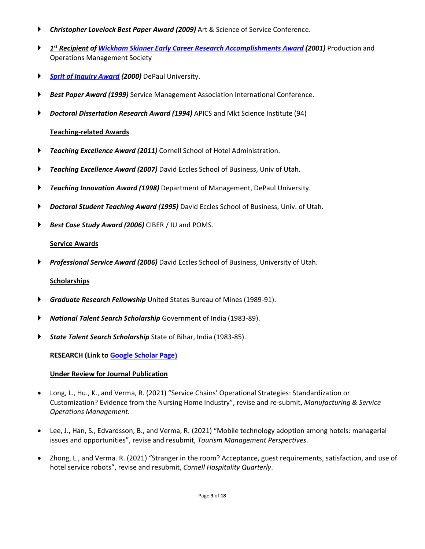- ► *Christopher Lovelock Best Paper Award (2009)* Art & Science of Service Conference.
- ► *1st Recipient of Wickham Skinner Early Career Research Accomplishments Award (2001)* Production and Operations Management Society
- ► *Sprit of Inquiry Award (2000)* DePaul University.
- **Best Paper Award (1999)** Service Management Association International Conference.
- ► *Doctoral Dissertation Research Award (1994)* APICS and Mkt Science Institute (94)

# **Teaching-related Awards**

- ► *Teaching Excellence Award (2011)* Cornell School of Hotel Administration.
- ► *Teaching Excellence Award (2007)* David Eccles School of Business, Univ of Utah.
- ► *Teaching Innovation Award (1998)* Department of Management, DePaul University.
- ► *Doctoral Student Teaching Award (1995)* David Eccles School of Business, Univ. of Utah.
- Best Case Study Award (2006) CIBER / IU and POMS.

# **Service Awards**

► *Professional Service Award (2006)* David Eccles School of Business, University of Utah.

# **Scholarships**

- **Graduate Research Fellowship** United States Bureau of Mines (1989-91).
- ► *National Talent Search Scholarship* Government of India (1983-89).
- ► *State Talent Search Scholarship* State of Bihar, India (1983-85).

**RESEARCH (Link to [Google Scholar Page\)](https://scholar.google.com/citations?user=b6qtIEgAAAAJ&hl=en)**

# **Under Review for Journal Publication**

- Long, L., Hu., K., and Verma, R. (2021) "Service Chains' Operational Strategies: Standardization or Customization? Evidence from the Nursing Home Industry", revise and re-submit, *Manufacturing & Service Operations Management*.
- Lee, J., Han, S., Edvardsson, B., and Verma, R. (2021) "Mobile technology adoption among hotels: managerial issues and opportunities", revise and resubmit, *Tourism Management Perspectives*.
- Zhong, L., and Verma. R. (2021) "Stranger in the room? Acceptance, guest requirements, satisfaction, and use of hotel service robots", revise and resubmit, *Cornell Hospitality Quarterly*.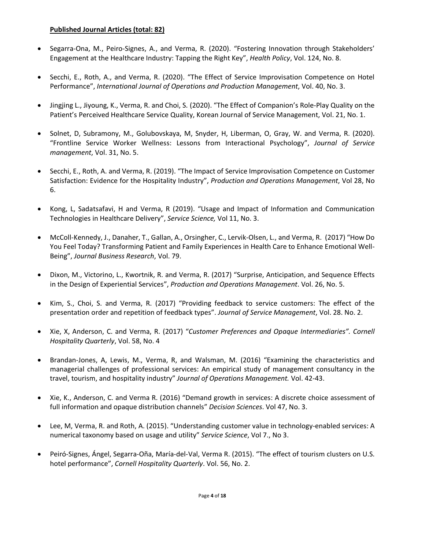### **Published Journal Articles (total: 82)**

- Segarra-Ona, M., Peiro-Signes, A., and Verma, R. (2020). "Fostering Innovation through Stakeholders' Engagement at the Healthcare Industry: Tapping the Right Key", *Health Policy*, Vol. 124, No. 8.
- Secchi, E., Roth, A., and Verma, R. (2020). "The Effect of Service Improvisation Competence on Hotel Performance", *International Journal of Operations and Production Management*, Vol. 40, No. 3.
- Jingjing L., Jiyoung, K., Verma, R. and Choi, S. (2020). "The Effect of Companion's Role-Play Quality on the Patient's Perceived Healthcare Service Quality, Korean Journal of Service Management, Vol. 21, No. 1.
- Solnet, D, Subramony, M., Golubovskaya, M, Snyder, H, Liberman, O, Gray, W. and Verma, R. (2020). "Frontline Service Worker Wellness: Lessons from Interactional Psychology", *Journal of Service management*, Vol. 31, No. 5.
- Secchi, E., Roth, A. and Verma, R. (2019). "The Impact of Service Improvisation Competence on Customer Satisfaction: Evidence for the Hospitality Industry", *Production and Operations Management*, Vol 28, No 6.
- Kong, L, Sadatsafavi, H and Verma, R (2019). "Usage and Impact of Information and Communication Technologies in Healthcare Delivery", *Service Science,* Vol 11, No. 3.
- McColl-Kennedy, J., Danaher, T., Gallan, A., Orsingher, C., Lervik-Olsen, L., and Verma, R. (2017) "How Do You Feel Today? Transforming Patient and Family Experiences in Health Care to Enhance Emotional Well-Being", *Journal Business Research*, Vol. 79.
- Dixon, M., Victorino, L., Kwortnik, R. and Verma, R. (2017) "Surprise, Anticipation, and Sequence Effects in the Design of Experiential Services", *Production and Operations Management*. Vol. 26, No. 5.
- Kim, S., Choi, S. and Verma, R. (2017) "Providing feedback to service customers: The effect of the presentation order and repetition of feedback types". *Journal of Service Management*, Vol. 28. No. 2.
- Xie, X, Anderson, C. and Verma, R. (2017) "*Customer Preferences and Opaque Intermediaries". Cornell Hospitality Quarterly*, Vol. 58, No. 4
- Brandan-Jones, A, Lewis, M., Verma, R, and Walsman, M. (2016) "Examining the characteristics and managerial challenges of professional services: An empirical study of management consultancy in the travel, tourism, and hospitality industry" *Journal of Operations Management.* Vol. 42-43.
- Xie, K., Anderson, C. and Verma R. (2016) "Demand growth in services: A discrete choice assessment of full information and opaque distribution channels" *Decision Sciences*. Vol 47, No. 3.
- Lee, M, Verma, R. and Roth, A. (2015). "Understanding customer value in technology-enabled services: A numerical taxonomy based on usage and utility" *Service Science*, Vol 7., No 3.
- Peiró-Signes, Ángel, Segarra-Oña, María-del-Val, Verma R. (2015). "The effect of tourism clusters on U.S. hotel performance", *Cornell Hospitality Quarterly*. Vol. 56, No. 2.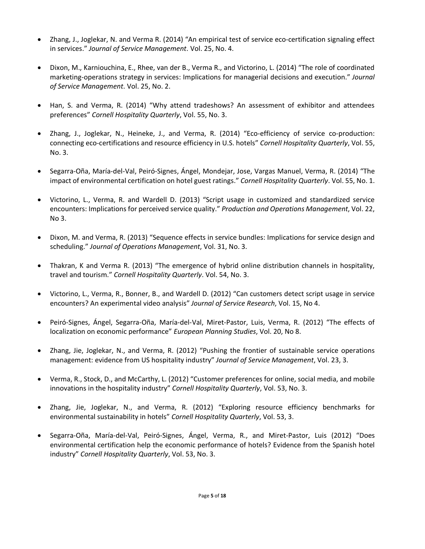- Zhang, J., Joglekar, N. and Verma R. (2014) "An empirical test of service eco-certification signaling effect in services." *Journal of Service Management*. Vol. 25, No. 4.
- Dixon, M., Karniouchina, E., Rhee, van der B., Verma R., and Victorino, L. (2014) "The role of coordinated marketing-operations strategy in services: Implications for managerial decisions and execution." *Journal of Service Management*. Vol. 25, No. 2.
- Han, S. and Verma, R. (2014) "Why attend tradeshows? An assessment of exhibitor and attendees preferences" *Cornell Hospitality Quarterly*, Vol. 55, No. 3.
- Zhang, J., Joglekar, N., Heineke, J., and Verma, R. (2014) "Eco-efficiency of service co-production: connecting eco-certifications and resource efficiency in U.S. hotels" *Cornell Hospitality Quarterly*, Vol. 55, No. 3.
- Segarra-Oña, María-del-Val, Peiró-Signes, Ángel, Mondejar, Jose, Vargas Manuel, Verma, R. (2014) "The impact of environmental certification on hotel guest ratings." *Cornell Hospitality Quarterly*. Vol. 55, No. 1.
- Victorino, L., Verma, R. and Wardell D. (2013) "Script usage in customized and standardized service encounters: Implications for perceived service quality." *Production and Operations Management*, Vol. 22, No 3.
- Dixon, M. and Verma, R. (2013) "Sequence effects in service bundles: Implications for service design and scheduling." *Journal of Operations Management*, Vol. 31, No. 3.
- Thakran, K and Verma R. (2013) "The emergence of hybrid online distribution channels in hospitality, travel and tourism." *Cornell Hospitality Quarterly*. Vol. 54, No. 3.
- Victorino, L., Verma, R., Bonner, B., and Wardell D. (2012) "Can customers detect script usage in service encounters? An experimental video analysis" *Journal of Service Research*, Vol. 15, No 4.
- Peiró-Signes, Ángel, Segarra-Oña, María-del-Val, Miret-Pastor, Luis, Verma, R. (2012) "The effects of localization on economic performance" *European Planning Studies*, Vol. 20, No 8.
- Zhang, Jie, Joglekar, N., and Verma, R. (2012) "Pushing the frontier of sustainable service operations management: evidence from US hospitality industry" *Journal of Service Management*, Vol. 23, 3.
- Verma, R., Stock, D., and McCarthy, L. (2012) "Customer preferences for online, social media, and mobile innovations in the hospitality industry" *Cornell Hospitality Quarterly*, Vol. 53, No. 3.
- Zhang, Jie, Joglekar, N., and Verma, R. (2012) "Exploring resource efficiency benchmarks for environmental sustainability in hotels" *Cornell Hospitality Quarterly*, Vol. 53, 3.
- Segarra-Oña, María-del-Val, Peiró-Signes, Ángel, Verma, R., and Miret-Pastor, Luis (2012) "Does environmental certification help the economic performance of hotels? Evidence from the Spanish hotel industry" *Cornell Hospitality Quarterly*, Vol. 53, No. 3.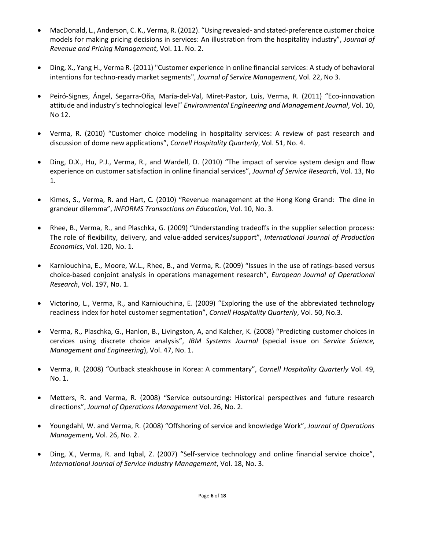- MacDonald, L., Anderson, C. K., Verma, R. (2012). "Using revealed- and stated-preference customer choice models for making pricing decisions in services: An illustration from the hospitality industry", *Journal of Revenue and Pricing Management*, Vol. 11. No. 2.
- Ding, X., Yang H., Verma R. (2011) "Customer experience in online financial services: A study of behavioral intentions for techno-ready market segments", *Journal of Service Management*, Vol. 22, No 3.
- Peiró-Signes, Ángel, Segarra-Oña, María-del-Val, Miret-Pastor, Luis, Verma, R. (2011) "Eco-innovation attitude and industry's technological level" *Environmental Engineering and Management Journal*, Vol. 10, No 12.
- Verma, R. (2010) "Customer choice modeling in hospitality services: A review of past research and discussion of dome new applications", *Cornell Hospitality Quarterly*, Vol. 51, No. 4.
- Ding, D.X., Hu, P.J., Verma, R., and Wardell, D. (2010) "The impact of service system design and flow experience on customer satisfaction in online financial services", *Journal of Service Research*, Vol. 13, No 1.
- Kimes, S., Verma, R. and Hart, C. (2010) "Revenue management at the Hong Kong Grand: The dine in grandeur dilemma", *INFORMS Transactions on Education*, Vol. 10, No. 3.
- Rhee, B., Verma, R., and Plaschka, G. (2009) "Understanding tradeoffs in the supplier selection process: The role of flexibility, delivery, and value-added services/support", *International Journal of Production Economics*, Vol. 120, No. 1.
- Karniouchina, E., Moore, W.L., Rhee, B., and Verma, R. (2009) "Issues in the use of ratings-based versus choice-based conjoint analysis in operations management research", *European Journal of Operational Research*, Vol. 197, No. 1.
- Victorino, L., Verma, R., and Karniouchina, E. (2009) "Exploring the use of the abbreviated technology readiness index for hotel customer segmentation", *Cornell Hospitality Quarterly*, Vol. 50, No.3.
- Verma, R., Plaschka, G., Hanlon, B., Livingston, A, and Kalcher, K. (2008) "Predicting customer choices in cervices using discrete choice analysis", *IBM Systems Journal* (special issue on *Service Science, Management and Engineering*), Vol. 47, No. 1.
- Verma, R. (2008) "Outback steakhouse in Korea: A commentary", *Cornell Hospitality Quarterly* Vol. 49, No. 1.
- Metters, R. and Verma, R. (2008) "Service outsourcing: Historical perspectives and future research directions", *Journal of Operations Management* Vol. 26, No. 2.
- Youngdahl, W. and Verma, R. (2008) "Offshoring of service and knowledge Work", *Journal of Operations Management,* Vol. 26, No. 2.
- Ding, X., Verma, R. and Iqbal, Z. (2007) "Self-service technology and online financial service choice", *International Journal of Service Industry Management*, Vol. 18, No. 3.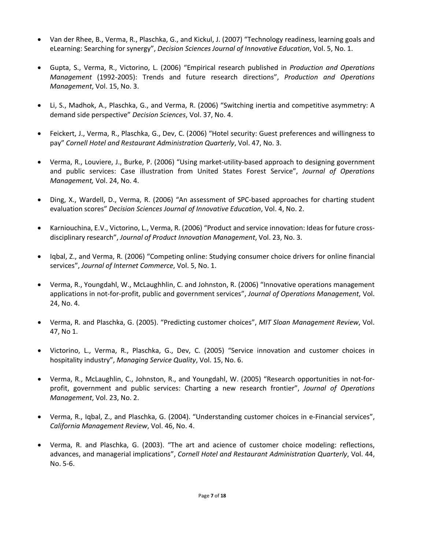- Van der Rhee, B., Verma, R., Plaschka, G., and Kickul, J. (2007) "Technology readiness, learning goals and eLearning: Searching for synergy", *Decision Sciences Journal of Innovative Education*, Vol. 5, No. 1.
- Gupta, S., Verma, R., Victorino, L. (2006) "Empirical research published in *Production and Operations Management* (1992-2005): Trends and future research directions", *Production and Operations Management*, Vol. 15, No. 3.
- Li, S., Madhok, A., Plaschka, G., and Verma, R. (2006) "Switching inertia and competitive asymmetry: A demand side perspective" *Decision Sciences*, Vol. 37, No. 4.
- Feickert, J., Verma, R., Plaschka, G., Dev, C. (2006) "Hotel security: Guest preferences and willingness to pay" *Cornell Hotel and Restaurant Administration Quarterly*, Vol. 47, No. 3.
- Verma, R., Louviere, J., Burke, P. (2006) "Using market-utility-based approach to designing government and public services: Case illustration from United States Forest Service", *Journal of Operations Management,* Vol. 24, No. 4.
- Ding, X., Wardell, D., Verma, R. (2006) "An assessment of SPC-based approaches for charting student evaluation scores" *Decision Sciences Journal of Innovative Education*, Vol. 4, No. 2.
- Karniouchina, E.V., Victorino, L., Verma, R. (2006) "Product and service innovation: Ideas for future crossdisciplinary research", *Journal of Product Innovation Management*, Vol. 23, No. 3.
- Iqbal, Z., and Verma, R. (2006) "Competing online: Studying consumer choice drivers for online financial services", *Journal of Internet Commerce*, Vol. 5, No. 1.
- Verma, R., Youngdahl, W., McLaughhlin, C. and Johnston, R. (2006) "Innovative operations management applications in not-for-profit, public and government services", *Journal of Operations Management*, Vol. 24, No. 4.
- Verma, R. and Plaschka, G. (2005). "Predicting customer choices", *MIT Sloan Management Review*, Vol. 47, No 1.
- Victorino, L., Verma, R., Plaschka, G., Dev, C. (2005) "Service innovation and customer choices in hospitality industry", *Managing Service Quality*, Vol. 15, No. 6.
- Verma, R., McLaughlin, C., Johnston, R., and Youngdahl, W. (2005) "Research opportunities in not-forprofit, government and public services: Charting a new research frontier", *Journal of Operations Management*, Vol. 23, No. 2.
- Verma, R., Iqbal, Z., and Plaschka, G. (2004). "Understanding customer choices in e-Financial services", *California Management Review*, Vol. 46, No. 4.
- Verma, R. and Plaschka, G. (2003). "The art and acience of customer choice modeling: reflections, advances, and managerial implications", *Cornell Hotel and Restaurant Administration Quarterly*, Vol. 44, No. 5-6.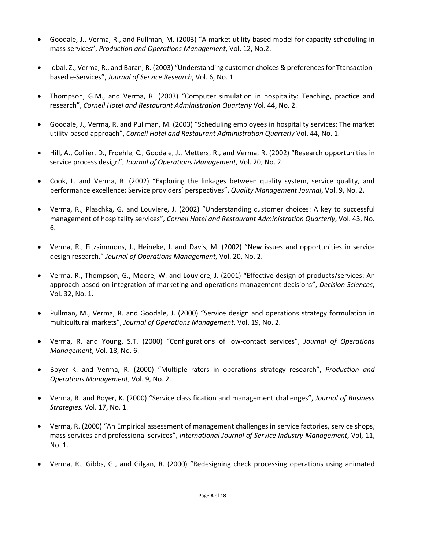- Goodale, J., Verma, R., and Pullman, M. (2003) "A market utility based model for capacity scheduling in mass services", *Production and Operations Management*, Vol. 12, No.2.
- Iqbal, Z., Verma, R., and Baran, R. (2003) "Understanding customer choices & preferences for Ttansactionbased e-Services", *Journal of Service Research*, Vol. 6, No. 1.
- Thompson, G.M., and Verma, R. (2003) "Computer simulation in hospitality: Teaching, practice and research", *Cornell Hotel and Restaurant Administration Quarterly* Vol. 44, No. 2.
- Goodale, J., Verma, R. and Pullman, M. (2003) "Scheduling employees in hospitality services: The market utility-based approach", *Cornell Hotel and Restaurant Administration Quarterly* Vol. 44, No. 1.
- Hill, A., Collier, D., Froehle, C., Goodale, J., Metters, R., and Verma, R. (2002) "Research opportunities in service process design", *Journal of Operations Management*, Vol. 20, No. 2.
- Cook, L. and Verma, R. (2002) "Exploring the linkages between quality system, service quality, and performance excellence: Service providers' perspectives", *Quality Management Journal*, Vol. 9, No. 2.
- Verma, R., Plaschka, G. and Louviere, J. (2002) "Understanding customer choices: A key to successful management of hospitality services", *Cornell Hotel and Restaurant Administration Quarterly*, Vol. 43, No. 6.
- Verma, R., Fitzsimmons, J., Heineke, J. and Davis, M. (2002) "New issues and opportunities in service design research," *Journal of Operations Management*, Vol. 20, No. 2.
- Verma, R., Thompson, G., Moore, W. and Louviere, J. (2001) "Effective design of products/services: An approach based on integration of marketing and operations management decisions", *Decision Sciences*, Vol. 32, No. 1.
- Pullman, M., Verma, R. and Goodale, J. (2000) "Service design and operations strategy formulation in multicultural markets", *Journal of Operations Management*, Vol. 19, No. 2.
- Verma, R. and Young, S.T. (2000) "Configurations of low-contact services", *Journal of Operations Management*, Vol. 18, No. 6.
- Boyer K. and Verma, R. (2000) "Multiple raters in operations strategy research", *Production and Operations Management*, Vol. 9, No. 2.
- Verma, R. and Boyer, K. (2000) "Service classification and management challenges", *Journal of Business Strategies,* Vol. 17, No. 1.
- Verma, R. (2000) "An Empirical assessment of management challenges in service factories, service shops, mass services and professional services", *International Journal of Service Industry Management*, Vol, 11, No. 1.
- Verma, R., Gibbs, G., and Gilgan, R. (2000) "Redesigning check processing operations using animated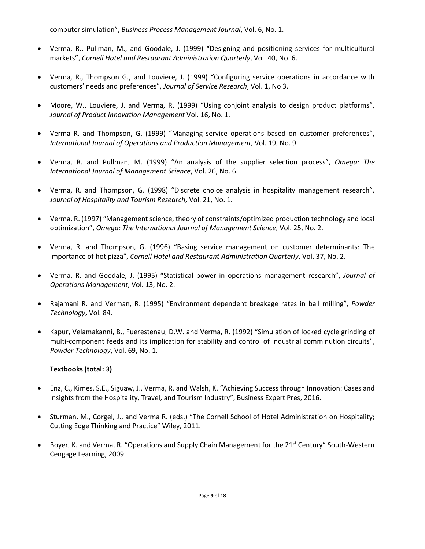computer simulation", *Business Process Management Journal*, Vol. 6, No. 1.

- Verma, R., Pullman, M., and Goodale, J. (1999) "Designing and positioning services for multicultural markets", *Cornell Hotel and Restaurant Administration Quarterly*, Vol. 40, No. 6.
- Verma, R., Thompson G., and Louviere, J. (1999) "Configuring service operations in accordance with customers' needs and preferences", *Journal of Service Research*, Vol. 1, No 3.
- Moore, W., Louviere, J. and Verma, R. (1999) "Using conjoint analysis to design product platforms", *Journal of Product Innovation Management* Vol. 16, No. 1.
- Verma R. and Thompson, G. (1999) "Managing service operations based on customer preferences", *International Journal of Operations and Production Management*, Vol. 19, No. 9.
- Verma, R. and Pullman, M. (1999) "An analysis of the supplier selection process", *Omega: The International Journal of Management Science*, Vol. 26, No. 6.
- Verma, R. and Thompson, G. (1998) "Discrete choice analysis in hospitality management research", *Journal of Hospitality and Tourism Research***,** Vol. 21, No. 1.
- Verma, R. (1997) "Management science, theory of constraints/optimized production technology and local optimization", *Omega: The International Journal of Management Science*, Vol. 25, No. 2.
- Verma, R. and Thompson, G. (1996) "Basing service management on customer determinants: The importance of hot pizza", *Cornell Hotel and Restaurant Administration Quarterly*, Vol. 37, No. 2.
- Verma, R. and Goodale, J. (1995) "Statistical power in operations management research", *Journal of Operations Management*, Vol. 13, No. 2.
- Rajamani R. and Verman, R. (1995) "Environment dependent breakage rates in ball milling", *Powder Technology***,** Vol. 84.
- Kapur, Velamakanni, B., Fuerestenau, D.W. and Verma, R. (1992) "Simulation of locked cycle grinding of multi-component feeds and its implication for stability and control of industrial comminution circuits", *Powder Technology*, Vol. 69, No. 1.

### **Textbooks (total: 3)**

- Enz, C., Kimes, S.E., Siguaw, J., Verma, R. and Walsh, K. "Achieving Success through Innovation: Cases and Insights from the Hospitality, Travel, and Tourism Industry", Business Expert Pres, 2016.
- Sturman, M., Corgel, J., and Verma R. (eds.) "The Cornell School of Hotel Administration on Hospitality; Cutting Edge Thinking and Practice" Wiley, 2011.
- Boyer, K. and Verma, R. "Operations and Supply Chain Management for the 21<sup>st</sup> Century" South-Western Cengage Learning, 2009.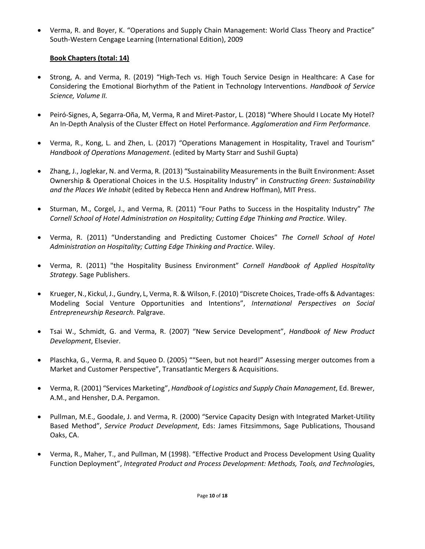• Verma, R. and Boyer, K. "Operations and Supply Chain Management: World Class Theory and Practice" South-Western Cengage Learning (International Edition), 2009

### **Book Chapters (total: 14)**

- Strong, A. and Verma, R. (2019) "High-Tech vs. High Touch Service Design in Healthcare: A Case for Considering the Emotional Biorhythm of the Patient in Technology Interventions. *Handbook of Service Science, Volume II.*
- Peiró-Signes, A, Segarra-Oña, M, Verma, R and Miret-Pastor, L. (2018) "Where Should I Locate My Hotel? An In-Depth Analysis of the Cluster Effect on Hotel Performance. *Agglomeration and Firm Performance*.
- Verma, R., Kong, L. and Zhen, L. (2017) "Operations Management in Hospitality, Travel and Tourism" *Handbook of Operations Management*. (edited by Marty Starr and Sushil Gupta)
- Zhang, J., Joglekar, N. and Verma, R. (2013) "Sustainability Measurements in the Built Environment: Asset Ownership & Operational Choices in the U.S. Hospitality Industry" in *Constructing Green: Sustainability and the Places We Inhabit* (edited by Rebecca Henn and Andrew Hoffman), MIT Press.
- Sturman, M., Corgel, J., and Verma, R. (2011) "Four Paths to Success in the Hospitality Industry" *The Cornell School of Hotel Administration on Hospitality; Cutting Edge Thinking and Practice*. Wiley.
- Verma, R. (2011) "Understanding and Predicting Customer Choices" *The Cornell School of Hotel Administration on Hospitality; Cutting Edge Thinking and Practice*. Wiley.
- Verma, R. (2011) "the Hospitality Business Environment" *Cornell Handbook of Applied Hospitality Strategy*. Sage Publishers.
- Krueger, N., Kickul, J., Gundry, L, Verma, R. & Wilson, F. (2010) "Discrete Choices, Trade-offs & Advantages: Modeling Social Venture Opportunities and Intentions", *International Perspectives on Social Entrepreneurship Research*. Palgrave.
- Tsai W., Schmidt, G. and Verma, R. (2007) "New Service Development", *Handbook of New Product Development*, Elsevier.
- Plaschka, G., Verma, R. and Squeo D. (2005) ""Seen, but not heard!" Assessing merger outcomes from a Market and Customer Perspective", Transatlantic Mergers & Acquisitions.
- Verma, R. (2001) "Services Marketing", *Handbook of Logistics and Supply Chain Management*, Ed. Brewer, A.M., and Hensher, D.A. Pergamon.
- Pullman, M.E., Goodale, J. and Verma, R. (2000) "Service Capacity Design with Integrated Market-Utility Based Method", *Service Product Development*, Eds: James Fitzsimmons, Sage Publications, Thousand Oaks, CA.
- Verma, R., Maher, T., and Pullman, M (1998). "Effective Product and Process Development Using Quality Function Deployment", *Integrated Product and Process Development: Methods, Tools, and Technologie*s,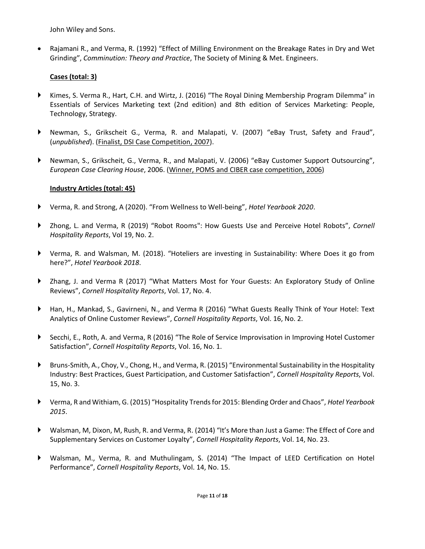John Wiley and Sons.

• Rajamani R., and Verma, R. (1992) "Effect of Milling Environment on the Breakage Rates in Dry and Wet Grinding", *Comminution: Theory and Practice*, The Society of Mining & Met. Engineers.

### **Cases (total: 3)**

- ► Kimes, S. Verma R., Hart, C.H. and Wirtz, J. (2016) "The Royal Dining Membership Program Dilemma" in Essentials of Services Marketing text (2nd edition) and 8th edition of Services Marketing: People, Technology, Strategy.
- ► Newman, S., Grikscheit G., Verma, R. and Malapati, V. (2007) "eBay Trust, Safety and Fraud", (*unpublished*). (Finalist, DSI Case Competition, 2007).
- ► Newman, S., Grikscheit, G., Verma, R., and Malapati, V. (2006) "eBay Customer Support Outsourcing", *European Case Clearing House*, 2006. (Winner, POMS and CIBER case competition, 2006)

### **Industry Articles (total: 45)**

- ► Verma, R. and Strong, A (2020). "From Wellness to Well-being", *Hotel Yearbook 2020*.
- ► Zhong, L. and Verma, R (2019) "Robot Rooms": How Guests Use and Perceive Hotel Robots", *Cornell Hospitality Reports*, Vol 19, No. 2.
- ► Verma, R. and Walsman, M. (2018). "Hoteliers are investing in Sustainability: Where Does it go from here?", *Hotel Yearbook 2018*.
- ▶ Zhang, J. and Verma R (2017) "What Matters Most for Your Guests: An Exploratory Study of Online Reviews", *Cornell Hospitality Reports*, Vol. 17, No. 4.
- ► Han, H., Mankad, S., Gavirneni, N., and Verma R (2016) "What Guests Really Think of Your Hotel: Text Analytics of Online Customer Reviews", *Cornell Hospitality Reports*, Vol. 16, No. 2.
- ► Secchi, E., Roth, A. and Verma, R (2016) "The Role of Service Improvisation in Improving Hotel Customer Satisfaction", *Cornell Hospitality Reports*, Vol. 16, No. 1.
- ► Bruns-Smith, A., Choy, V., Chong, H., and Verma, R. (2015) "Environmental Sustainability in the Hospitality Industry: Best Practices, Guest Participation, and Customer Satisfaction", *Cornell Hospitality Reports*, Vol. 15, No. 3.
- ► Verma, R and Withiam, G. (2015) "Hospitality Trends for 2015: Blending Order and Chaos", *Hotel Yearbook 2015*.
- ► Walsman, M, Dixon, M, Rush, R. and Verma, R. (2014) "It's More than Just a Game: The Effect of Core and Supplementary Services on Customer Loyalty", *Cornell Hospitality Reports*, Vol. 14, No. 23.
- ► Walsman, M., Verma, R. and Muthulingam, S. (2014) "The Impact of LEED Certification on Hotel Performance", *Cornell Hospitality Reports*, Vol. 14, No. 15.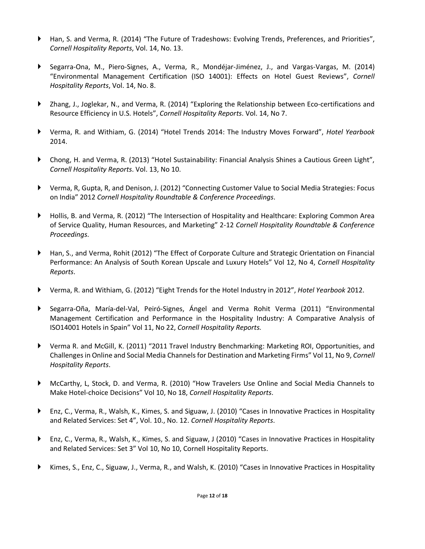- ► Han, S. and Verma, R. (2014) "The Future of Tradeshows: Evolving Trends, Preferences, and Priorities", *Cornell Hospitality Reports*, Vol. 14, No. 13.
- Segarra-Ona, M., Piero-Signes, A., Verma, R., Mondéjar-Jiménez, J., and Vargas-Vargas, M. (2014) "Environmental Management Certification (ISO 14001): Effects on Hotel Guest Reviews", *Cornell Hospitality Reports*, Vol. 14, No. 8.
- ► Zhang, J., Joglekar, N., and Verma, R. (2014) "Exploring the Relationship between Eco-certifications and Resource Efficiency in U.S. Hotels", *Cornell Hospitality Reports*. Vol. 14, No 7.
- ► Verma, R. and Withiam, G. (2014) "Hotel Trends 2014: The Industry Moves Forward", *Hotel Yearbook* 2014.
- ► Chong, H. and Verma, R. (2013) "Hotel Sustainability: Financial Analysis Shines a Cautious Green Light", *Cornell Hospitality Reports*. Vol. 13, No 10.
- ► Verma, R, Gupta, R, and Denison, J. (2012) "Connecting Customer Value to Social Media Strategies: Focus on India" 2012 *Cornell Hospitality Roundtable & Conference Proceedings*.
- ► Hollis, B. and Verma, R. (2012) "The Intersection of Hospitality and Healthcare: Exploring Common Area of Service Quality, Human Resources, and Marketing" 2-12 *Cornell Hospitality Roundtable & Conference Proceedings*.
- ▶ Han, S., and Verma, Rohit (2012) "The Effect of Corporate Culture and Strategic Orientation on Financial Performance: An Analysis of South Korean Upscale and Luxury Hotels" Vol 12, No 4, *Cornell Hospitality Reports*.
- ► Verma, R. and Withiam, G. (2012) "Eight Trends for the Hotel Industry in 2012", *Hotel Yearbook* 2012.
- ► Segarra-Oña, María-del-Val, Peiró-Signes, Ángel and Verma Rohit Verma (2011) "Environmental Management Certification and Performance in the Hospitality Industry: A Comparative Analysis of ISO14001 Hotels in Spain" Vol 11, No 22, *Cornell Hospitality Reports.*
- ► Verma R. and McGill, K. (2011) "2011 Travel Industry Benchmarking: Marketing ROI, Opportunities, and Challenges in Online and Social Media Channels for Destination and Marketing Firms" Vol 11, No 9, *Cornell Hospitality Reports*.
- ► McCarthy, L, Stock, D. and Verma, R. (2010) "How Travelers Use Online and Social Media Channels to Make Hotel-choice Decisions" Vol 10, No 18, *Cornell Hospitality Reports*.
- ► Enz, C., Verma, R., Walsh, K., Kimes, S. and Siguaw, J. (2010) "Cases in Innovative Practices in Hospitality and Related Services: Set 4", Vol. 10., No. 12. *Cornell Hospitality Reports*.
- ► Enz, C., Verma, R., Walsh, K., Kimes, S. and Siguaw, J (2010) "Cases in Innovative Practices in Hospitality and Related Services: Set 3" Vol 10, No 10, Cornell Hospitality Reports.
- ► Kimes, S., Enz, C., Siguaw, J., Verma, R., and Walsh, K. (2010) "Cases in Innovative Practices in Hospitality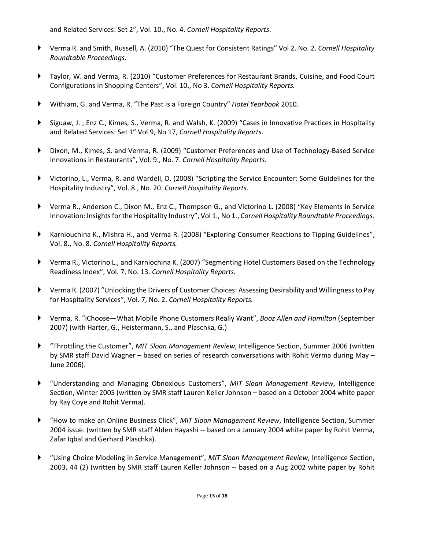and Related Services: Set 2", Vol. 10., No. 4. *Cornell Hospitality Reports*.

- ► Verma R. and Smith, Russell, A. (2010) "The Quest for Consistent Ratings" Vol 2. No. 2. *Cornell Hospitality Roundtable Proceedings.*
- ► Taylor, W. and Verma, R. (2010) "Customer Preferences for Restaurant Brands, Cuisine, and Food Court Configurations in Shopping Centers", Vol. 10., No 3. *Cornell Hospitality Reports.*
- ► Withiam, G. and Verma, R. "The Past is a Foreign Country" *Hotel Yearbook* 2010.
- ► Siguaw, J. , Enz C., Kimes, S., Verma, R. and Walsh, K. (2009) "Cases in Innovative Practices in Hospitality and Related Services: Set 1" Vol 9, No 17, *Cornell Hospitality Reports*.
- ► Dixon, M., Kimes, S. and Verma, R. (2009) "Customer Preferences and Use of Technology-Based Service Innovations in Restaurants", Vol. 9., No. 7. *Cornell Hospitality Reports.*
- ► Victorino, L., Verma, R. and Wardell, D. (2008) "Scripting the Service Encounter: Some Guidelines for the Hospitality Industry", Vol. 8., No. 20. *Cornell Hospitality Reports.*
- ► Verma R., Anderson C., Dixon M., Enz C., Thompson G., and Victorino L. (2008) "Key Elements in Service Innovation: Insights for the Hospitality Industry", Vol 1., No 1., *Cornell Hospitality Roundtable Proceedings*.
- ► Karniouchina K., Mishra H., and Verma R. (2008) "Exploring Consumer Reactions to Tipping Guidelines", Vol. 8., No. 8. *Cornell Hospitality Reports.*
- ► Verma R., Victorino L., and Karniochina K. (2007) "Segmenting Hotel Customers Based on the Technology Readiness Index", Vol. 7, No. 13. *Cornell Hospitality Reports.*
- ► Verma R. (2007) "Unlocking the Drivers of Customer Choices: Assessing Desirability and Willingness to Pay for Hospitality Services", Vol. 7, No. 2. *Cornell Hospitality Reports.*
- ► Verma, R. "iChoose—What Mobile Phone Customers Really Want", *Booz Allen and Hamilton* (September 2007) (with Harter, G., Heistermann, S., and Plaschka, G.)
- ► "Throttling the Customer", *MIT Sloan Management Review*, Intelligence Section, Summer 2006 (written by SMR staff David Wagner – based on series of research conversations with Rohit Verma during May – June 2006).
- ► "Understanding and Managing Obnoxious Customers", *MIT Sloan Management Review*, Intelligence Section, Winter 2005 (written by SMR staff Lauren Keller Johnson – based on a October 2004 white paper by Ray Coye and Rohit Verma).
- ► "How to make an Online Business Click", *MIT Sloan Management Review*, Intelligence Section, Summer 2004 issue. (written by SMR staff Alden Hayashi -- based on a January 2004 white paper by Rohit Verma, Zafar Iqbal and Gerhard Plaschka).
- ► "Using Choice Modeling in Service Management", *MIT Sloan Management Review*, Intelligence Section, 2003, 44 (2) (written by SMR staff Lauren Keller Johnson -- based on a Aug 2002 white paper by Rohit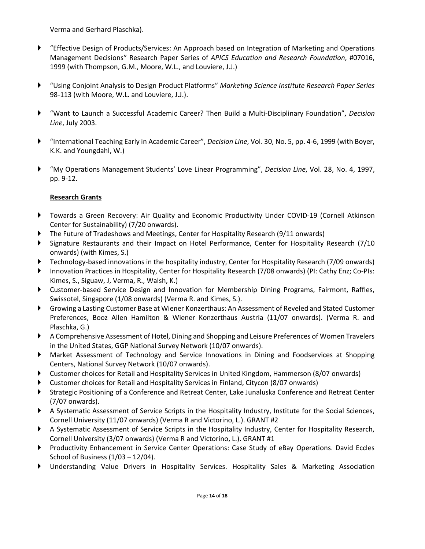Verma and Gerhard Plaschka).

- ► "Effective Design of Products/Services: An Approach based on Integration of Marketing and Operations Management Decisions" Research Paper Series of *APICS Education and Research Foundation*, #07016, 1999 (with Thompson, G.M., Moore, W.L., and Louviere, J.J.)
- ► "Using Conjoint Analysis to Design Product Platforms" *Marketing Science Institute Research Paper Series* 98-113 (with Moore, W.L. and Louviere, J.J.).
- ► "Want to Launch a Successful Academic Career? Then Build a Multi-Disciplinary Foundation", *Decision Line*, July 2003.
- ► "International Teaching Early in Academic Career", *Decision Line*, Vol. 30, No. 5, pp. 4-6, 1999 (with Boyer, K.K. and Youngdahl, W.)
- ► "My Operations Management Students' Love Linear Programming", *Decision Line*, Vol. 28, No. 4, 1997, pp. 9-12.

# **Research Grants**

- ► Towards a Green Recovery: Air Quality and Economic Productivity Under COVID-19 (Cornell Atkinson Center for Sustainability) (7/20 onwards).
- The Future of Tradeshows and Meetings, Center for Hospitality Research (9/11 onwards)
- Signature Restaurants and their Impact on Hotel Performance, Center for Hospitality Research (7/10 onwards) (with Kimes, S.)
- ► Technology-based innovations in the hospitality industry, Center for Hospitality Research (7/09 onwards)
- ► Innovation Practices in Hospitality, Center for Hospitality Research (7/08 onwards) (PI: Cathy Enz; Co-PIs: Kimes, S., Siguaw, J, Verma, R., Walsh, K.)
- ▶ Customer-based Service Design and Innovation for Membership Dining Programs, Fairmont, Raffles, Swissotel, Singapore (1/08 onwards) (Verma R. and Kimes, S.).
- ► Growing a Lasting Customer Base at Wiener Konzerthaus: An Assessment of Reveled and Stated Customer Preferences, Booz Allen Hamilton & Wiener Konzerthaus Austria (11/07 onwards). (Verma R. and Plaschka, G.)
- ▶ A Comprehensive Assessment of Hotel, Dining and Shopping and Leisure Preferences of Women Travelers in the United States, GGP National Survey Network (10/07 onwards).
- ► Market Assessment of Technology and Service Innovations in Dining and Foodservices at Shopping Centers, National Survey Network (10/07 onwards).
- ► Customer choices for Retail and Hospitality Services in United Kingdom, Hammerson (8/07 onwards)
- ► Customer choices for Retail and Hospitality Services in Finland, Citycon (8/07 onwards)
- ▶ Strategic Positioning of a Conference and Retreat Center, Lake Junaluska Conference and Retreat Center (7/07 onwards).
- ► A Systematic Assessment of Service Scripts in the Hospitality Industry, Institute for the Social Sciences, Cornell University (11/07 onwards) (Verma R and Victorino, L.). GRANT #2
- ► A Systematic Assessment of Service Scripts in the Hospitality Industry, Center for Hospitality Research, Cornell University (3/07 onwards) (Verma R and Victorino, L.). GRANT #1
- Productivity Enhancement in Service Center Operations: Case Study of eBay Operations. David Eccles School of Business (1/03 – 12/04).
- ► Understanding Value Drivers in Hospitality Services. Hospitality Sales & Marketing Association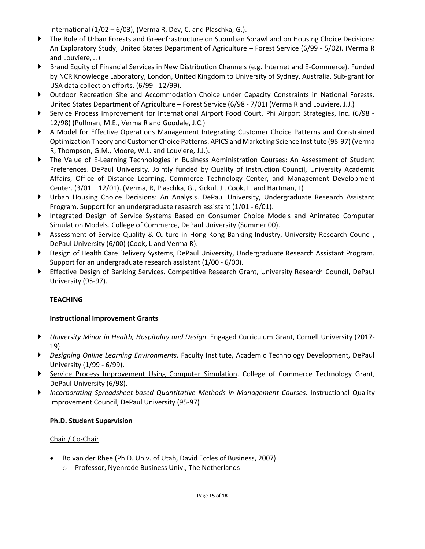International (1/02 – 6/03), (Verma R, Dev, C. and Plaschka, G.).

- ► The Role of Urban Forests and Greenfrastructure on Suburban Sprawl and on Housing Choice Decisions: An Exploratory Study, United States Department of Agriculture – Forest Service (6/99 - 5/02). (Verma R and Louviere, J.)
- Brand Equity of Financial Services in New Distribution Channels (e.g. Internet and E-Commerce). Funded by NCR Knowledge Laboratory, London, United Kingdom to University of Sydney, Australia. Sub-grant for USA data collection efforts. (6/99 - 12/99).
- ► Outdoor Recreation Site and Accommodation Choice under Capacity Constraints in National Forests. United States Department of Agriculture – Forest Service (6/98 - 7/01) (Verma R and Louviere, J.J.)
- ► Service Process Improvement for International Airport Food Court. Phi Airport Strategies, Inc. (6/98 12/98) (Pullman, M.E., Verma R and Goodale, J.C.)
- ▶ A Model for Effective Operations Management Integrating Customer Choice Patterns and Constrained Optimization Theory and Customer Choice Patterns. APICS and Marketing Science Institute (95-97) (Verma R, Thompson, G.M., Moore, W.L. and Louviere, J.J.).
- ► The Value of E-Learning Technologies in Business Administration Courses: An Assessment of Student Preferences. DePaul University. Jointly funded by Quality of Instruction Council, University Academic Affairs, Office of Distance Learning, Commerce Technology Center, and Management Development Center. (3/01 – 12/01). (Verma, R, Plaschka, G., Kickul, J., Cook, L. and Hartman, L)
- ► Urban Housing Choice Decisions: An Analysis. DePaul University, Undergraduate Research Assistant Program. Support for an undergraduate research assistant (1/01 - 6/01).
- ► Integrated Design of Service Systems Based on Consumer Choice Models and Animated Computer Simulation Models. College of Commerce, DePaul University (Summer 00).
- ▶ Assessment of Service Quality & Culture in Hong Kong Banking Industry, University Research Council, DePaul University (6/00) (Cook, L and Verma R).
- ► Design of Health Care Delivery Systems, DePaul University, Undergraduate Research Assistant Program. Support for an undergraduate research assistant (1/00 - 6/00).
- ► Effective Design of Banking Services. Competitive Research Grant, University Research Council, DePaul University (95-97).

# **TEACHING**

# **Instructional Improvement Grants**

- ► *University Minor in Health, Hospitality and Design*. Engaged Curriculum Grant, Cornell University (2017- 19)
- ► *Designing Online Learning Environments*. Faculty Institute, Academic Technology Development, DePaul University (1/99 - 6/99).
- ▶ Service Process Improvement Using Computer Simulation. College of Commerce Technology Grant, DePaul University (6/98).
- ► *Incorporating Spreadsheet-based Quantitative Methods in Management Courses*. Instructional Quality Improvement Council, DePaul University (95-97)

# **Ph.D. Student Supervision**

# Chair / Co-Chair

- Bo van der Rhee (Ph.D. Univ. of Utah, David Eccles of Business, 2007)
	- o Professor, Nyenrode Business Univ., The Netherlands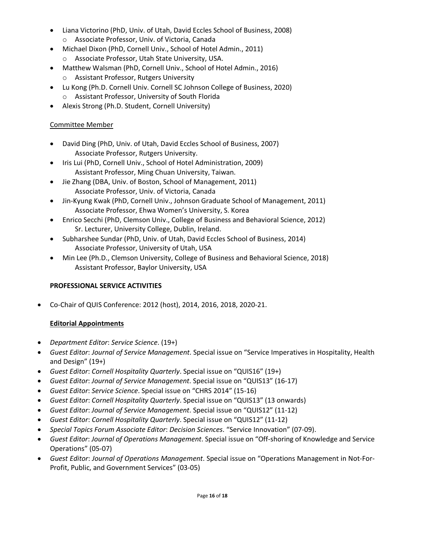- Liana Victorino (PhD, Univ. of Utah, David Eccles School of Business, 2008)
	- o Associate Professor, Univ. of Victoria, Canada
- Michael Dixon (PhD, Cornell Univ., School of Hotel Admin., 2011) o Associate Professor, Utah State University, USA.
- Matthew Walsman (PhD, Cornell Univ., School of Hotel Admin., 2016) o Assistant Professor, Rutgers University
- Lu Kong (Ph.D. Cornell Univ. Cornell SC Johnson College of Business, 2020)
	- o Assistant Professor, University of South Florida
- Alexis Strong (Ph.D. Student, Cornell University)

# Committee Member

- David Ding (PhD, Univ. of Utah, David Eccles School of Business, 2007) Associate Professor, Rutgers University.
- Iris Lui (PhD, Cornell Univ., School of Hotel Administration, 2009) Assistant Professor, Ming Chuan University, Taiwan.
- Jie Zhang (DBA, Univ. of Boston, School of Management, 2011) Associate Professor, Univ. of Victoria, Canada
- Jin-Kyung Kwak (PhD, Cornell Univ., Johnson Graduate School of Management, 2011) Associate Professor, Ehwa Women's University, S. Korea
- Enrico Secchi (PhD, Clemson Univ., College of Business and Behavioral Science, 2012) Sr. Lecturer, University College, Dublin, Ireland.
- Subharshee Sundar (PhD, Univ. of Utah, David Eccles School of Business, 2014) Associate Professor, University of Utah, USA
- Min Lee (Ph.D., Clemson University, College of Business and Behavioral Science, 2018) Assistant Professor, Baylor University, USA

# **PROFESSIONAL SERVICE ACTIVITIES**

• Co-Chair of QUIS Conference: 2012 (host), 2014, 2016, 2018, 2020-21.

# **Editorial Appointments**

- *Department Editor*: *Service Science*. (19+)
- *Guest Editor*: *Journal of Service Management*. Special issue on "Service Imperatives in Hospitality, Health and Design" (19+)
- *Guest Editor*: *Cornell Hospitality Quarterly*. Special issue on "QUIS16" (19+)
- *Guest Editor*: *Journal of Service Management*. Special issue on "QUIS13" (16-17)
- *Guest Editor*: *Service Science*. Special issue on "CHRS 2014" (15-16)
- *Guest Editor*: *Cornell Hospitality Quarterly*. Special issue on "QUIS13" (13 onwards)
- *Guest Editor*: *Journal of Service Management*. Special issue on "QUIS12" (11-12)
- *Guest Editor*: *Cornell Hospitality Quarterly*. Special issue on "QUIS12" (11-12)
- *Special Topics Forum Associate Editor*: *Decision Sciences*. "Service Innovation" (07-09).
- *Guest Editor*: *Journal of Operations Management*. Special issue on "Off-shoring of Knowledge and Service Operations" (05-07)
- *Guest Editor*: *Journal of Operations Management*. Special issue on "Operations Management in Not-For-Profit, Public, and Government Services" (03-05)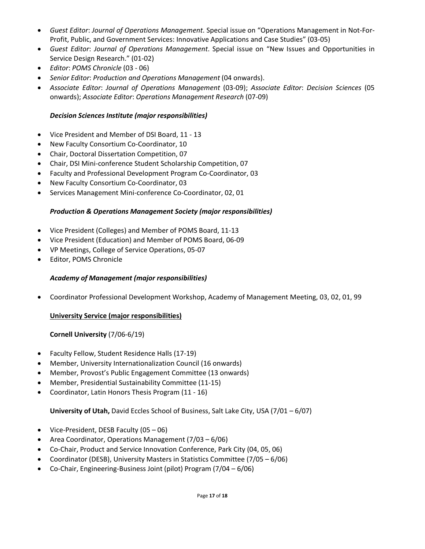- *Guest Editor*: *Journal of Operations Management*. Special issue on "Operations Management in Not-For-Profit, Public, and Government Services: Innovative Applications and Case Studies" (03-05)
- *Guest Editor*: *Journal of Operations Management*. Special issue on "New Issues and Opportunities in Service Design Research." (01-02)
- *Editor*: *POMS Chronicle* (03 06)
- *Senior Editor*: *Production and Operations Management* (04 onwards).
- *Associate Editor*: *Journal of Operations Management* (03-09); *Associate Editor*: *Decision Sciences* (05 onwards); *Associate Editor*: *Operations Management Research* (07-09)

# *Decision Sciences Institute (major responsibilities)*

- Vice President and Member of DSI Board, 11 13
- New Faculty Consortium Co-Coordinator, 10
- Chair, Doctoral Dissertation Competition, 07
- Chair, DSI Mini-conference Student Scholarship Competition, 07
- Faculty and Professional Development Program Co-Coordinator, 03
- New Faculty Consortium Co-Coordinator, 03
- Services Management Mini-conference Co-Coordinator, 02, 01

### *Production & Operations Management Society (major responsibilities)*

- Vice President (Colleges) and Member of POMS Board, 11-13
- Vice President (Education) and Member of POMS Board, 06-09
- VP Meetings, College of Service Operations, 05-07
- Editor, POMS Chronicle

### *Academy of Management (major responsibilities)*

• Coordinator Professional Development Workshop, Academy of Management Meeting, 03, 02, 01, 99

### **University Service (major responsibilities)**

### **Cornell University** (7/06-6/19)

- Faculty Fellow, Student Residence Halls (17-19)
- Member, University Internationalization Council (16 onwards)
- Member, Provost's Public Engagement Committee (13 onwards)
- Member, Presidential Sustainability Committee (11-15)
- Coordinator, Latin Honors Thesis Program (11 16)

**University of Utah,** David Eccles School of Business, Salt Lake City, USA (7/01 – 6/07)

- Vice-President, DESB Faculty (05 06)
- Area Coordinator, Operations Management (7/03 6/06)
- Co-Chair, Product and Service Innovation Conference, Park City (04, 05, 06)
- Coordinator (DESB), University Masters in Statistics Committee (7/05 6/06)
- Co-Chair, Engineering-Business Joint (pilot) Program (7/04 6/06)